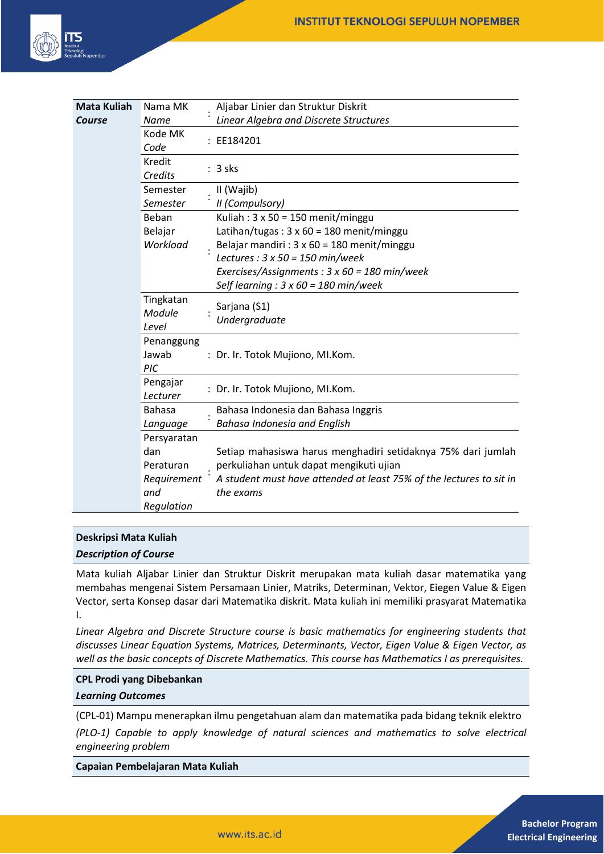

| <b>Mata Kuliah</b> | Nama MK                      | Aljabar Linier dan Struktur Diskrit                                              |
|--------------------|------------------------------|----------------------------------------------------------------------------------|
| Course             | Name                         | Linear Algebra and Discrete Structures                                           |
|                    | Kode MK<br>Code              | : EE184201                                                                       |
|                    | Kredit<br>Credits            | $: 3$ sks                                                                        |
|                    | Semester                     | II (Wajib)                                                                       |
|                    | Semester                     | II (Compulsory)                                                                  |
|                    | Beban                        | Kuliah: $3 \times 50 = 150$ menit/minggu                                         |
|                    | Belajar                      | Latihan/tugas: $3 \times 60 = 180$ menit/minggu                                  |
|                    | Workload                     | Belajar mandiri : $3 \times 60 = 180$ menit/minggu                               |
|                    |                              | Lectures : $3 \times 50 = 150$ min/week                                          |
|                    |                              | Exercises/Assignments : $3 \times 60 = 180$ min/week                             |
|                    |                              | Self learning : $3 \times 60 = 180$ min/week                                     |
|                    | Tingkatan<br>Module<br>Level | Sarjana (S1)<br>Undergraduate                                                    |
|                    | Penanggung<br>Jawab<br>PIC   | : Dr. Ir. Totok Mujiono, MI.Kom.                                                 |
|                    | Pengajar<br>Lecturer         | : Dr. Ir. Totok Mujiono, MI.Kom.                                                 |
|                    | <b>Bahasa</b>                | Bahasa Indonesia dan Bahasa Inggris                                              |
|                    | Language                     | <b>Bahasa Indonesia and English</b>                                              |
|                    | Persyaratan                  |                                                                                  |
|                    | dan                          | Setiap mahasiswa harus menghadiri setidaknya 75% dari jumlah                     |
|                    | Peraturan                    | perkuliahan untuk dapat mengikuti ujian                                          |
|                    | Requirement<br>and           | A student must have attended at least 75% of the lectures to sit in<br>the exams |
|                    | Regulation                   |                                                                                  |

#### **Deskripsi Mata Kuliah**

*Description of Course*

Mata kuliah Aljabar Linier dan Struktur Diskrit merupakan mata kuliah dasar matematika yang membahas mengenai Sistem Persamaan Linier, Matriks, Determinan, Vektor, Eiegen Value & Eigen Vector, serta Konsep dasar dari Matematika diskrit. Mata kuliah ini memiliki prasyarat Matematika I.

*Linear Algebra and Discrete Structure course is basic mathematics for engineering students that discusses Linear Equation Systems, Matrices, Determinants, Vector, Eigen Value & Eigen Vector, as well as the basic concepts of Discrete Mathematics. This course has Mathematics I as prerequisites.*

#### **CPL Prodi yang Dibebankan**

*Learning Outcomes*

(CPL-01) Mampu menerapkan ilmu pengetahuan alam dan matematika pada bidang teknik elektro

*(PLO-1) Capable to apply knowledge of natural sciences and mathematics to solve electrical engineering problem* 

**Capaian Pembelajaran Mata Kuliah**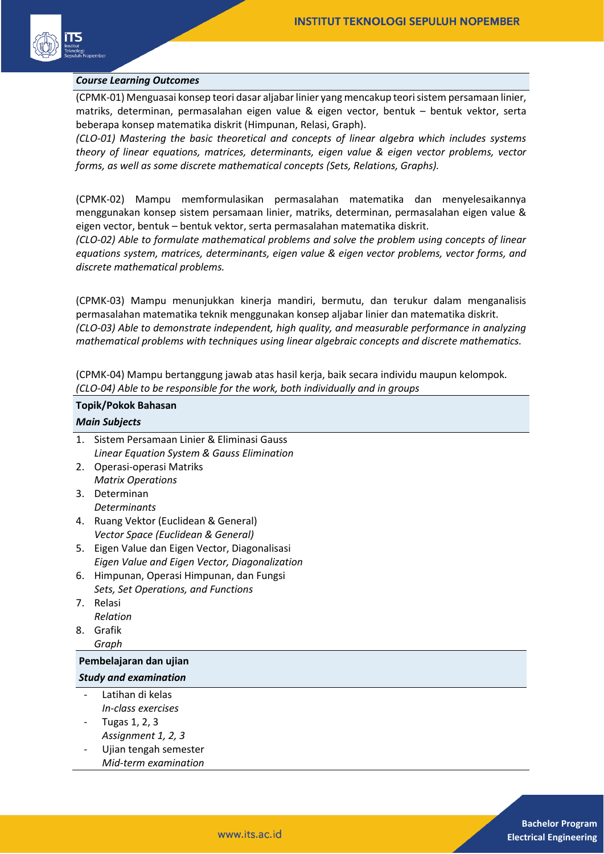

#### *Course Learning Outcomes*

(CPMK-01) Menguasai konsep teori dasar aljabar linier yang mencakup teori sistem persamaan linier, matriks, determinan, permasalahan eigen value & eigen vector, bentuk – bentuk vektor, serta beberapa konsep matematika diskrit (Himpunan, Relasi, Graph).

*(CLO-01) Mastering the basic theoretical and concepts of linear algebra which includes systems theory of linear equations, matrices, determinants, eigen value & eigen vector problems, vector forms, as well as some discrete mathematical concepts (Sets, Relations, Graphs).*

(CPMK-02) Mampu memformulasikan permasalahan matematika dan menyelesaikannya menggunakan konsep sistem persamaan linier, matriks, determinan, permasalahan eigen value & eigen vector, bentuk – bentuk vektor, serta permasalahan matematika diskrit.

*(CLO-02) Able to formulate mathematical problems and solve the problem using concepts of linear equations system, matrices, determinants, eigen value & eigen vector problems, vector forms, and discrete mathematical problems.*

(CPMK-03) Mampu menunjukkan kinerja mandiri, bermutu, dan terukur dalam menganalisis permasalahan matematika teknik menggunakan konsep aljabar linier dan matematika diskrit. *(CLO-03) Able to demonstrate independent, high quality, and measurable performance in analyzing mathematical problems with techniques using linear algebraic concepts and discrete mathematics.*

(CPMK-04) Mampu bertanggung jawab atas hasil kerja, baik secara individu maupun kelompok. *(CLO-04) Able to be responsible for the work, both individually and in groups*

# **Topik/Pokok Bahasan**

|                              | <b>Main Subjects</b>                          |  |  |  |  |
|------------------------------|-----------------------------------------------|--|--|--|--|
| $\mathbf{1}$ .               | Sistem Persamaan Linier & Eliminasi Gauss     |  |  |  |  |
|                              | Linear Equation System & Gauss Elimination    |  |  |  |  |
| 2.                           | Operasi-operasi Matriks                       |  |  |  |  |
|                              | <b>Matrix Operations</b>                      |  |  |  |  |
| 3.                           | Determinan                                    |  |  |  |  |
|                              | <b>Determinants</b>                           |  |  |  |  |
| 4.                           | Ruang Vektor (Euclidean & General)            |  |  |  |  |
|                              | Vector Space (Euclidean & General)            |  |  |  |  |
| 5.                           | Eigen Value dan Eigen Vector, Diagonalisasi   |  |  |  |  |
|                              | Eigen Value and Eigen Vector, Diagonalization |  |  |  |  |
| 6.                           | Himpunan, Operasi Himpunan, dan Fungsi        |  |  |  |  |
|                              | Sets, Set Operations, and Functions           |  |  |  |  |
| $7_{\cdot}$                  | Relasi                                        |  |  |  |  |
|                              | Relation                                      |  |  |  |  |
| 8.                           | Grafik                                        |  |  |  |  |
|                              | Graph                                         |  |  |  |  |
|                              | Pembelajaran dan ujian                        |  |  |  |  |
| <b>Study and examination</b> |                                               |  |  |  |  |
|                              | Latihan di kelas                              |  |  |  |  |
|                              | In-class exercises                            |  |  |  |  |
|                              | Tugas 1, 2, 3                                 |  |  |  |  |
|                              | Assignment 1, 2, 3                            |  |  |  |  |
|                              | Ujian tengah semester                         |  |  |  |  |
|                              | Mid-term examination                          |  |  |  |  |
|                              |                                               |  |  |  |  |